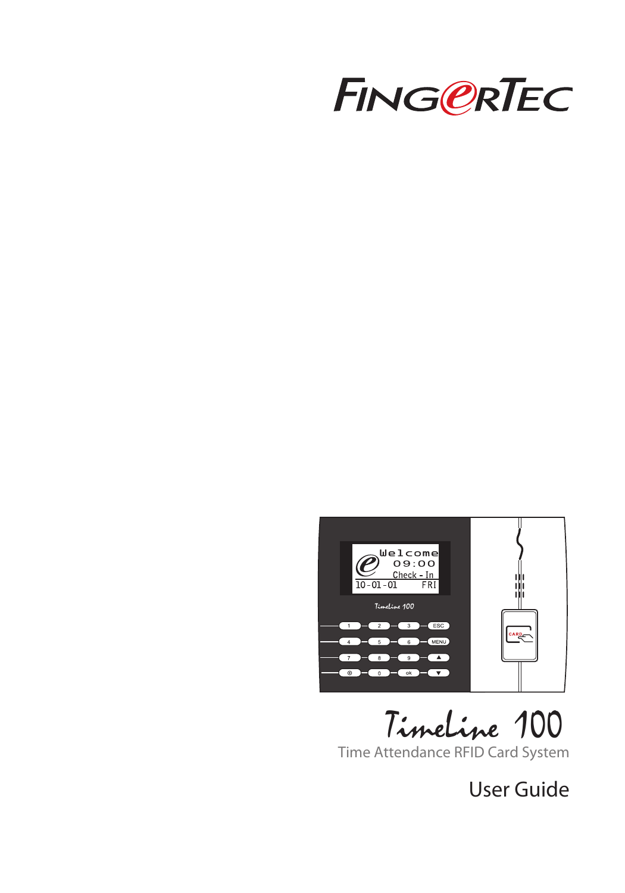



TimeLine 100

Time Attendance RFID Card System

User Guide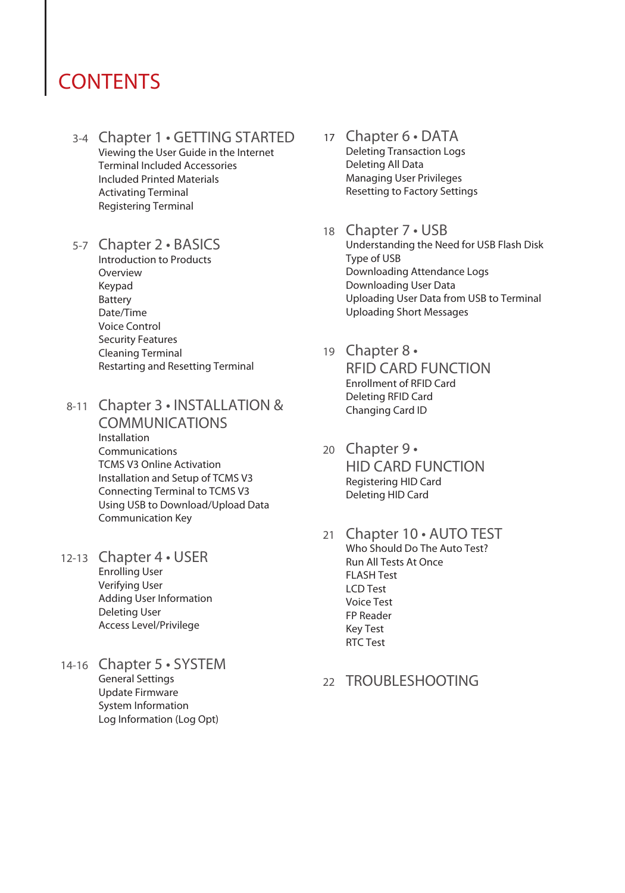### **CONTENTS**

- 3-4 Chapter 1 GETTING STARTED Viewing the User Guide in the Internet Terminal Included Accessories Included Printed Materials Activating Terminal Registering Terminal
- 5-7 Chapter 2 BASICS

Introduction to Products Overview Keypad Battery Date/Time Voice Control Security Features Cleaning Terminal Restarting and Resetting Terminal

8-11 Chapter 3 • INSTALLATION & COMMUNICATIONS

Installation Communications TCMS V3 Online Activation Installation and Setup of TCMS V3 Connecting Terminal to TCMS V3 Using USB to Download/Upload Data Communication Key

- 12-13 Chapter 4 USER Enrolling User Verifying User Adding User Information Deleting User Access Level/Privilege
- 14-16 Chapter 5 SYSTEM General Settings Update Firmware System Information Log Information (Log Opt)
- 17 Chapter 6 DATA Deleting Transaction Logs Deleting All Data Managing User Privileges Resetting to Factory Settings
- 18 Chapter 7 USB Understanding the Need for USB Flash Disk Type of USB Downloading Attendance Logs Downloading User Data Uploading User Data from USB to Terminal Uploading Short Messages
- 19 Chapter 8 RFID CARD FUNCTION Enrollment of RFID Card Deleting RFID Card Changing Card ID
- 20 Chapter 9 HID CARD FUNCTION Registering HID Card Deleting HID Card
- 21 Chapter 10 AUTO TEST Who Should Do The Auto Test? Run All Tests At Once FLASH Test LCD Test Voice Test FP Reader Key Test RTC Test
- 22 TROUBLESHOOTING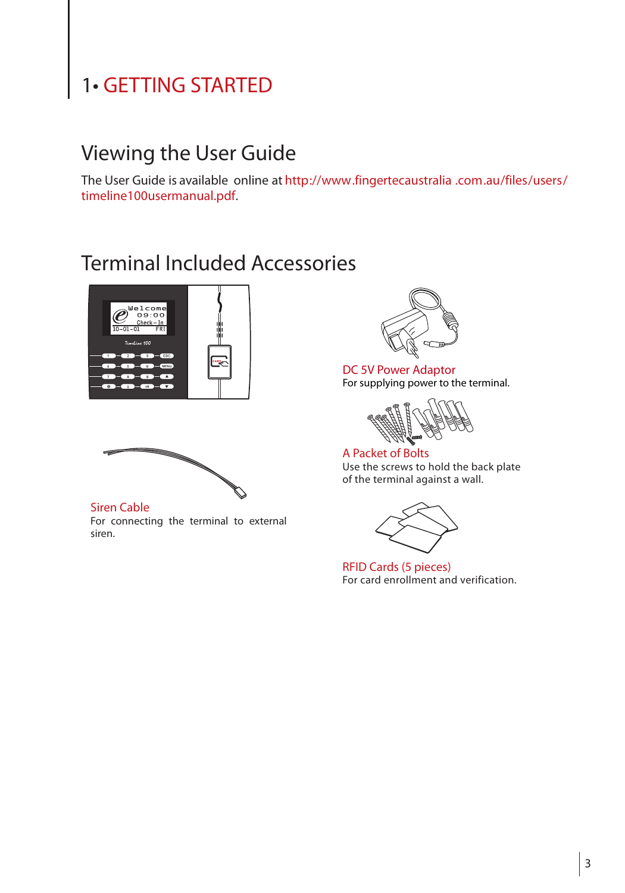# 1• GETTING STARTED

### Viewing the User Guide

The User Guide is available online at http://www.fingertecaustralia .com.au/files/users/ timeline100usermanual.pdf.

### Terminal Included Accessories



Siren Cable For connecting the terminal to external siren.



DC 5V Power Adaptor For supplying power to the terminal.

A Packet of Bolts Use the screws to hold the back plate of the terminal against a wall.



RFID Cards (5 pieces) For card enrollment and verification.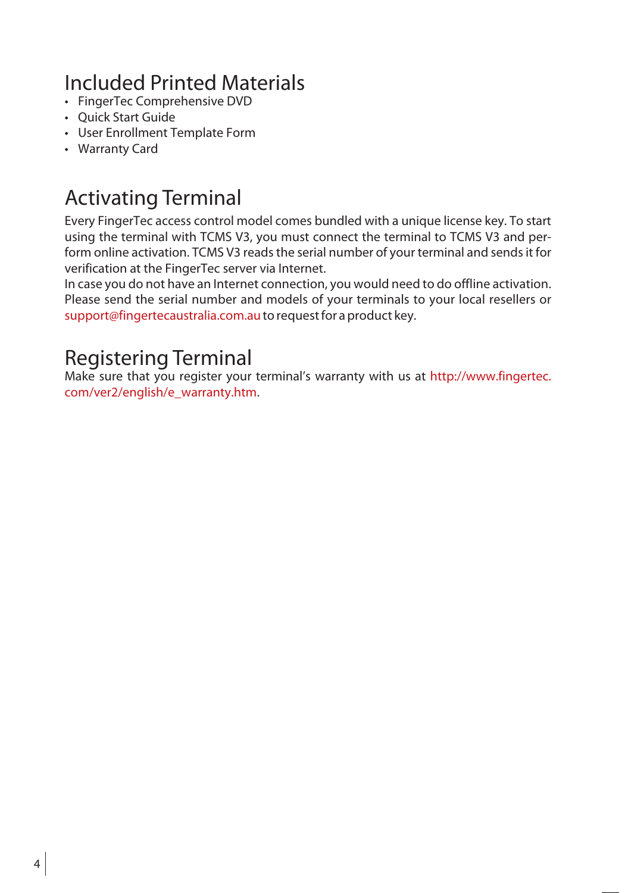# Included Printed Materials

- FingerTec Comprehensive DVD
- Quick Start Guide
- User Enrollment Template Form
- Warranty Card

# Activating Terminal

Every FingerTec access control model comes bundled with a unique license key. To start using the terminal with TCMS V3, you must connect the terminal to TCMS V3 and perform online activation. TCMS V3 reads the serial number of your terminal and sends it for verification at the FingerTec server via Internet.

In case you do not have an Internet connection, you would need to do offline activation. Please send the serial number and models of your terminals to your local resellers or support@fingertecaustralia.com.au to request for a product key.

# Registering Terminal

Make sure that you register your terminal's warranty with us at http://www.fingertec. com/ver2/english/e\_warranty.htm.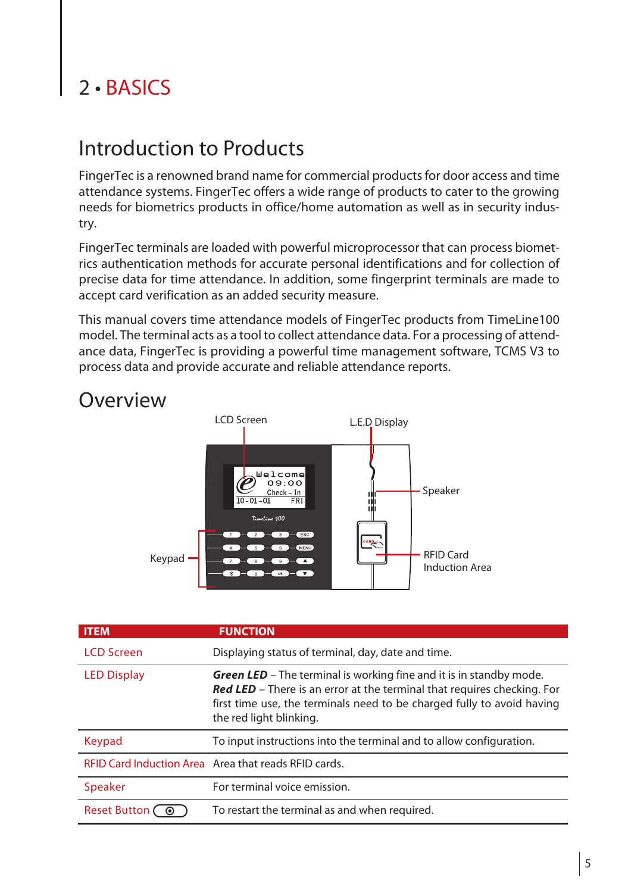# 2 • BASICS

### Introduction to Products

FingerTec is a renowned brand name for commercial products for door access and time attendance systems. FingerTec offers a wide range of products to cater to the growing needs for biometrics products in office/home automation as well as in security industry.

FingerTec terminals are loaded with powerful microprocessor that can process biometrics authentication methods for accurate personal identifications and for collection of precise data for time attendance. In addition, some fingerprint terminals are made to accept card verification as an added security measure.

This manual covers time attendance models of FingerTec products from TimeLine100 model. The terminal acts as a tool to collect attendance data. For a processing of attendance data, FingerTec is providing a powerful time management software, TCMS V3 to process data and provide accurate and reliable attendance reports.



# **Overview**

| <b>ITEM</b>         | <b>FUNCTION</b>                                                                                                                                                                                                                                            |  |
|---------------------|------------------------------------------------------------------------------------------------------------------------------------------------------------------------------------------------------------------------------------------------------------|--|
| <b>LCD Screen</b>   | Displaying status of terminal, day, date and time.                                                                                                                                                                                                         |  |
| <b>LED Display</b>  | <b>Green LED</b> – The terminal is working fine and it is in standby mode.<br>Red LED - There is an error at the terminal that requires checking. For<br>first time use, the terminals need to be charged fully to avoid having<br>the red light blinking. |  |
| Keypad              | To input instructions into the terminal and to allow configuration.                                                                                                                                                                                        |  |
|                     | REID Card Induction Area Area that reads REID cards.                                                                                                                                                                                                       |  |
| <b>Speaker</b>      | For terminal voice emission.                                                                                                                                                                                                                               |  |
| <b>Reset Button</b> | To restart the terminal as and when required.                                                                                                                                                                                                              |  |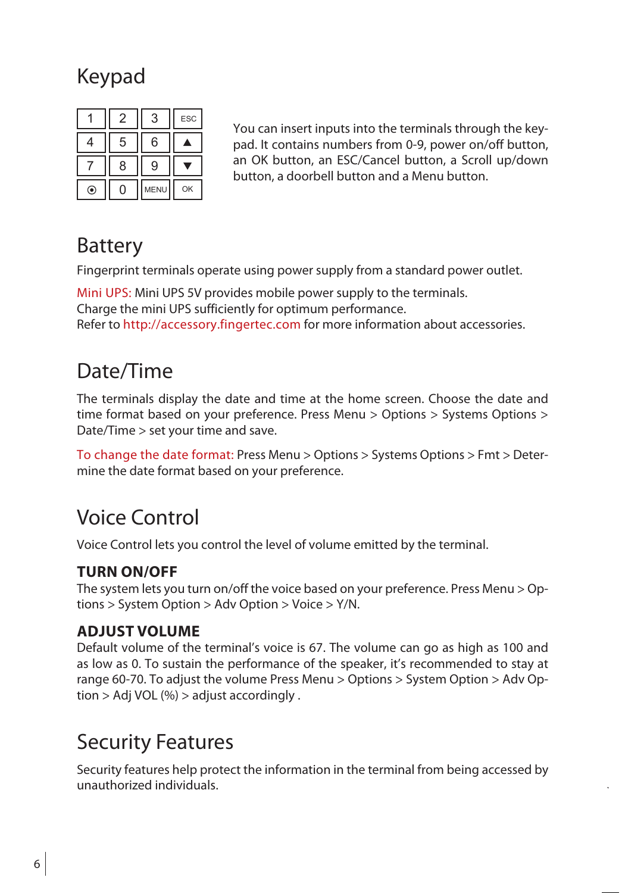# Keypad

|    | 2 | 3    | ESC |
|----|---|------|-----|
| 4  | 5 | 6    |     |
|    | 8 | 9    |     |
| ⊙, |   | MENU | OK  |

You can insert inputs into the terminals through the keypad. It contains numbers from 0-9, power on/off button, an OK button, an ESC/Cancel button, a Scroll up/down button, a doorbell button and a Menu button.

# Battery

Fingerprint terminals operate using power supply from a standard power outlet.

Mini UPS: Mini UPS 5V provides mobile power supply to the terminals. Charge the mini UPS sufficiently for optimum performance. Refer to http://accessory.fingertec.com for more information about accessories.

# Date/Time

The terminals display the date and time at the home screen. Choose the date and time format based on your preference. Press Menu > Options > Systems Options > Date/Time > set your time and save.

To change the date format: Press Menu > Options > Systems Options > Fmt > Determine the date format based on your preference.

# Voice Control

Voice Control lets you control the level of volume emitted by the terminal.

### **Turn On/Off**

The system lets you turn on/off the voice based on your preference. Press Menu > Options > System Option > Adv Option > Voice > Y/N.

#### **Adjust Volume**

Default volume of the terminal's voice is 67. The volume can go as high as 100 and as low as 0. To sustain the performance of the speaker, it's recommended to stay at range 60-70. To adjust the volume Press Menu > Options > System Option > Adv Option > Adj VOL (%) > adjust accordingly .

# Security Features

Security features help protect the information in the terminal from being accessed by unauthorized individuals.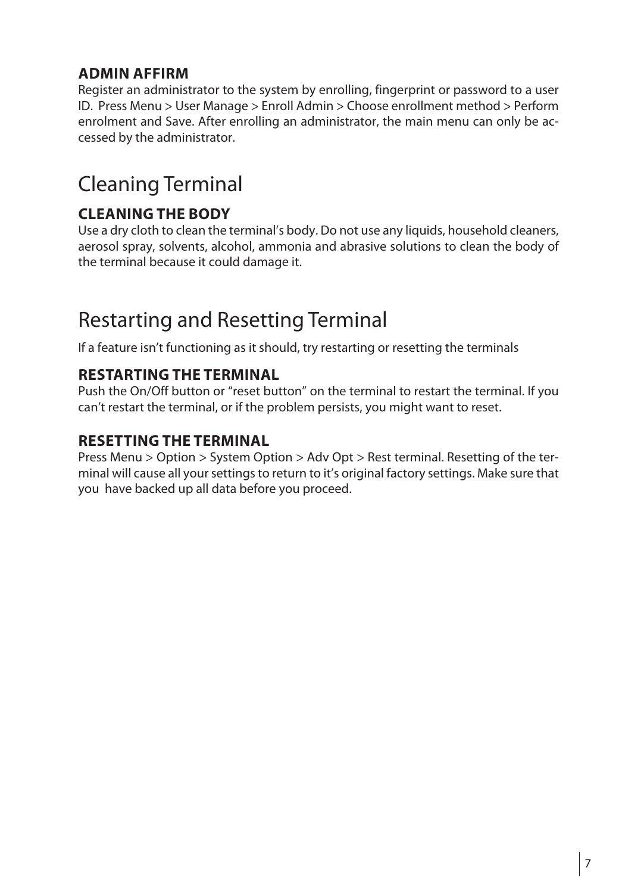#### **Admin Affirm**

Register an administrator to the system by enrolling, fingerprint or password to a user ID. Press Menu > User Manage > Enroll Admin > Choose enrollment method > Perform enrolment and Save. After enrolling an administrator, the main menu can only be accessed by the administrator.

# Cleaning Terminal

### **Cleaning The Body**

Use a dry cloth to clean the terminal's body. Do not use any liquids, household cleaners, aerosol spray, solvents, alcohol, ammonia and abrasive solutions to clean the body of the terminal because it could damage it.

# Restarting and Resetting Terminal

If a feature isn't functioning as it should, try restarting or resetting the terminals

#### **Restarting the terminal**

Push the On/Off button or "reset button" on the terminal to restart the terminal. If you can't restart the terminal, or if the problem persists, you might want to reset.

### **Resetting the Terminal**

Press Menu > Option > System Option > Adv Opt > Rest terminal. Resetting of the terminal will cause all yoursettingsto return to it's original factory settings. Make sure that you have backed up all data before you proceed.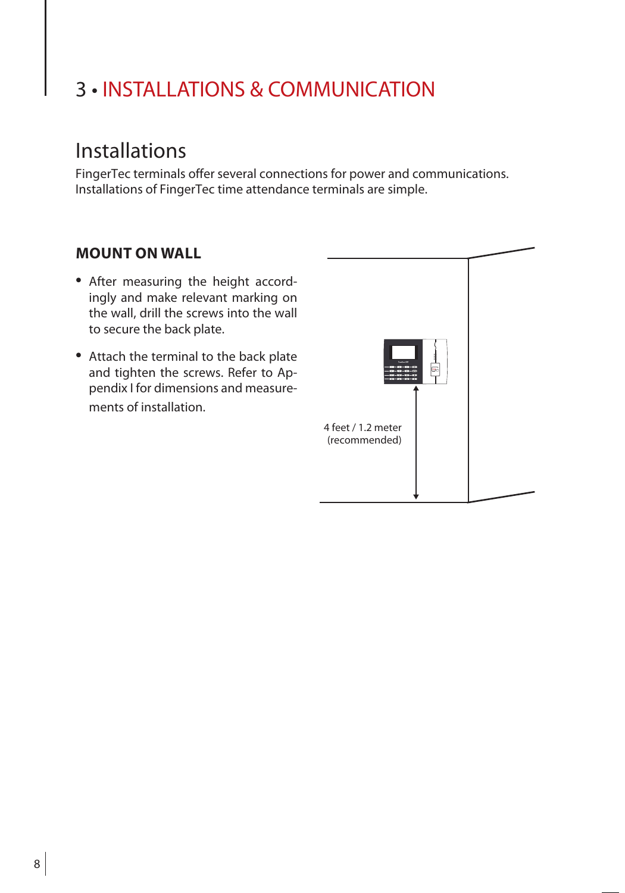# 3 • INSTALLATIONS & COMMUNICATION

## Installations

FingerTec terminals offer several connections for power and communications. Installations of FingerTec time attendance terminals are simple.

#### **Mount On Wall**

- After measuring the height accordingly and make relevant marking on the wall, drill the screws into the wall to secure the back plate.
- Attach the terminal to the back plate and tighten the screws. Refer to Appendix I for dimensions and measurements of installation.

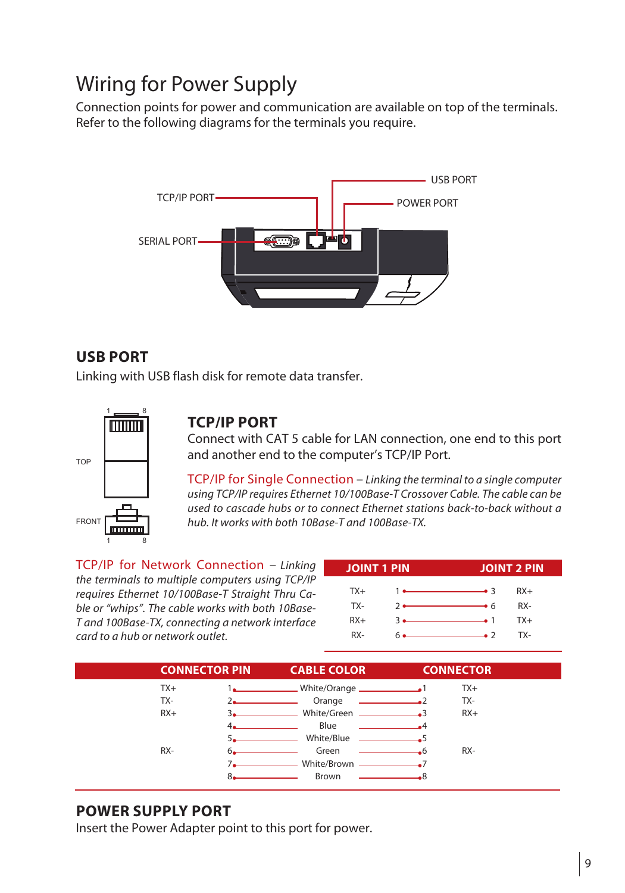# Wiring for Power Supply

Connection points for power and communication are available on top of the terminals. Refer to the following diagrams for the terminals you require.



#### **USB Port**

Linking with USB flash disk for remote data transfer.



#### **TCP/IP Port**

Connect with CAT 5 cable for LAN connection, one end to this port and another end to the computer's TCP/IP Port.

TCP/IP for Single Connection – *Linking the terminal to a single computer using TCP/IP requires Ethernet 10/100Base-T Crossover Cable. The cable can be used to cascade hubs or to connect Ethernet stations back-to-back without a hub. It works with both 10Base-T and 100Base-TX.*

TCP/IP for Network Connection – *Linking the terminals to multiple computers using TCP/IP requires Ethernet 10/100Base-T Straight Thru Cable or "whips". The cable works with both 10Base-T and 100Base-TX, connecting a network interface card to a hub or network outlet.* 

| <b>JOINT 1 PIN</b> |  |                                                     | <b>JOINT 2 PIN</b> |  |
|--------------------|--|-----------------------------------------------------|--------------------|--|
| $TX+$              |  |                                                     | $RX+$              |  |
| TX-                |  | $2 \bullet$ 6.                                      | RX-                |  |
| $RX+$              |  | $\overline{\phantom{a}3}$ $\overline{\phantom{a}1}$ | $TX+$              |  |
| RX-                |  |                                                     | TX-                |  |



#### **Power Supply Port**

Insert the Power Adapter point to this port for power.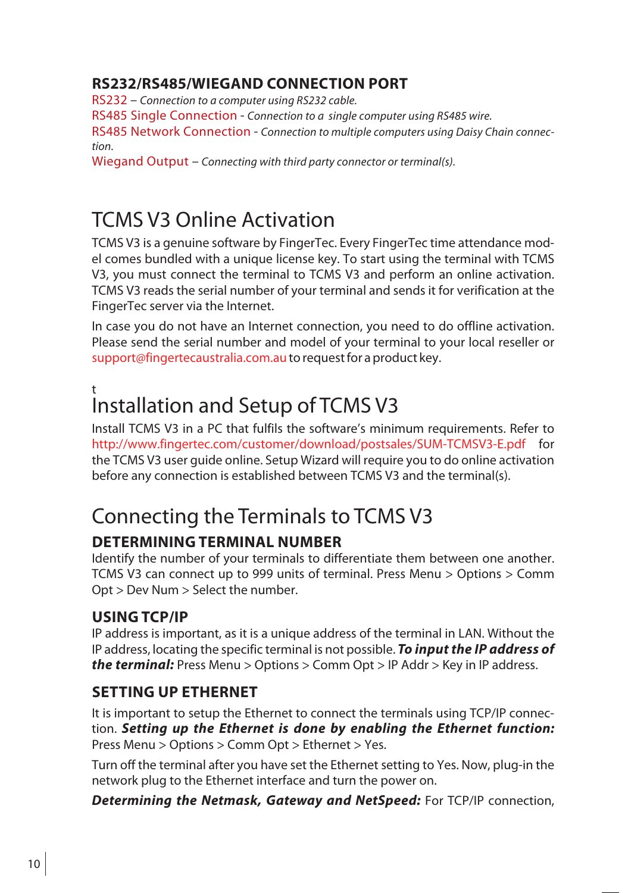### **RS 232/RS 485/Wie gan d Connection Port**

RS232 – *Connection to a computer using RS232 cable.*

RS485 Single Connection - *Connection to a single computer using RS485 wire.*

RS485 Network Connection - *Connection to multiple computers using Daisy Chain connection.*

Wiegand Output – *Connecting with third party connector or terminal(s).*

# TCMS V3 Online Activation

TCMS V3 is a genuine software by FingerTec. Every FingerTec time attendance model comes bundled with a unique license key. To start using the terminal with TCMS V3, you must connect the terminal to TCMS V3 and perform an online activation. TCMS V3 reads the serial number of your terminal and sends it for verification at the FingerTec server via the Internet.

In case you do not have an Internet connection, you need to do offline activation. Please send the serial number and model of your terminal to your local reseller or support@fingertecaustralia.com.au to request for a product key.

### t Installation and Setup of TCMS V3

Install TCMS V3 in a PC that fulfils the software's minimum requirements. Refer to http://www.fingertec.com/customer/download/postsales/SUM-TCMSV3-E.pdf for the TCMS V3 user guide online. Setup Wizard will require you to do online activation before any connection is established between TCMS V3 and the terminal(s).

# Connecting the Terminals to TCMS V3

# **Dete rminin g Termina l Numbe r**

Identify the number of your terminals to differentiate them between one another. TCMS V3 can connect up to 999 units of terminal. Press Menu > Options > Comm Opt > Dev Num > Select the number.

### **Usin g TCP/IP**

IP address is important, as it is a unique address of the terminal in LAN. Without the IP address, locating the specific terminal is not possible. *To input the IP address of the terminal:* Press Menu > Options > Comm Opt > IP Addr > Key in IP address.

### **SETTING UP ETHERNET**

It is important to setup the Ethernet to connect the terminals using TCP/IP connection. *Setting up the Ethernet is done by enabling the Ethernet function:*  Press Menu > Options > Comm Opt > Ethernet > Yes.

Turn off the terminal after you have set the Ethernet setting to Yes. Now, plug-in the network plug to the Ethernet interface and turn the power on.

*Determining the Netmask, Gateway and NetSpeed:* For TCP/IP connection,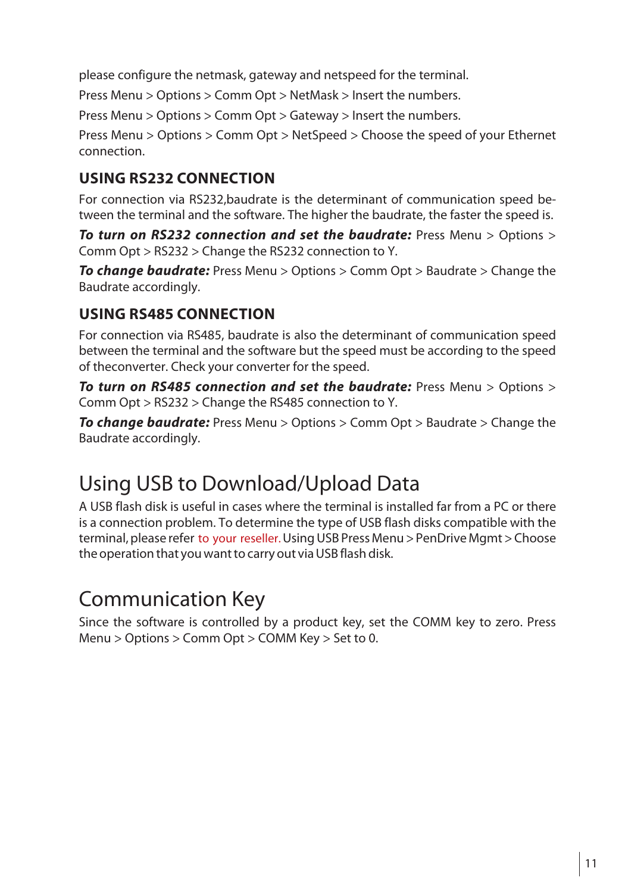please configure the netmask, gateway and netspeed for the terminal.

Press Menu > Options > Comm Opt > NetMask > Insert the numbers.

Press Menu > Options > Comm Opt > Gateway > Insert the numbers.

Press Menu > Options > Comm Opt > NetSpeed > Choose the speed of your Ethernet connection.

### **Usin g RS 232 Connection**

For connection via RS232,baudrate is the determinant of communication speed between the terminal and the software. The higher the baudrate, the faster the speed is.

*To turn on RS232 connection and set the baudrate:* Press Menu > Options > Comm Opt > RS232 > Change the RS232 connection to Y.

*To change baudrate:* Press Menu > Options > Comm Opt > Baudrate > Change the Baudrate accordingly.

### **Usin g RS 485 Connection**

For connection via RS485, baudrate is also the determinant of communication speed between the terminal and the software but the speed must be according to the speed of theconverter. Check your converter for the speed.

*To turn on RS485 connection and set the baudrate:* Press Menu > Options > Comm Opt > RS232 > Change the RS485 connection to Y.

*To change baudrate:* Press Menu > Options > Comm Opt > Baudrate > Change the Baudrate accordingly.

# Using USB to Download/Upload Data

A USB flash disk is useful in cases where the terminal is installed far from a PC or there is a connection problem. To determine the type of USB flash disks compatible with the terminal, please refer to your reseller. Using USB Press Menu > PenDrive Mgmt > Choose the operation that you want to carry out via USB flash disk.

# Communication Key

Since the software is controlled by a product key, set the COMM key to zero. Press Menu > Options > Comm Opt > COMM Key > Set to 0.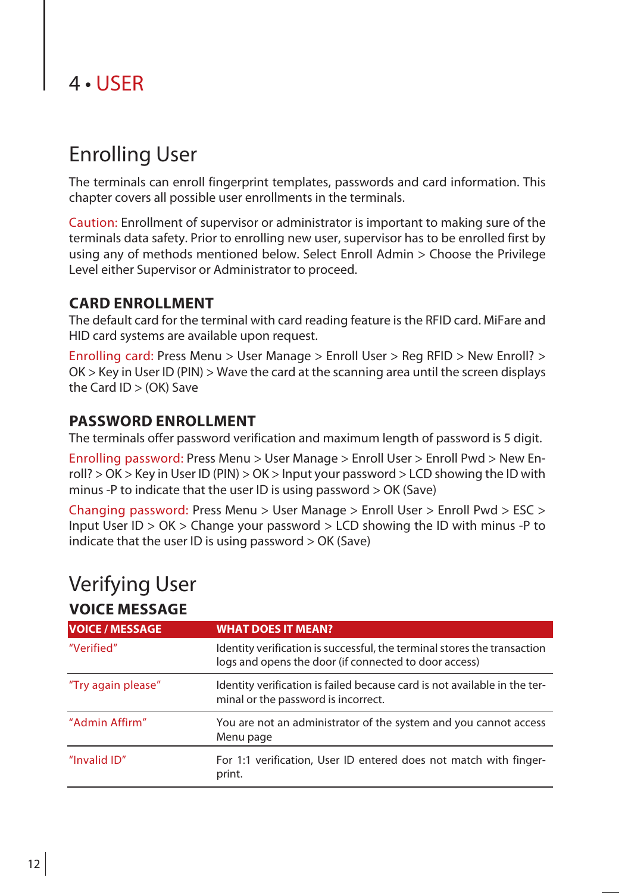# 4 • USER

# Enrolling User

The terminals can enroll fingerprint templates, passwords and card information. This chapter covers all possible user enrollments in the terminals.

Caution: Enrollment of supervisor or administrator is important to making sure of the terminals data safety. Prior to enrolling new user, supervisor has to be enrolled first by using any of methods mentioned below. Select Enroll Admin > Choose the Privilege Level either Supervisor or Administrator to proceed.

#### **Card Enrollment**

The default card for the terminal with card reading feature isthe RFID card. MiFare and HID card systems are available upon request.

Enrolling card: Press Menu > User Manage > Enroll User > Reg RFID > New Enroll? > OK > Key in User ID (PIN) > Wave the card at the scanning area until the screen displays the Card ID > (OK) Save

#### **Password Enrollment**

The terminals offer password verification and maximum length of password is 5 digit.

Enrolling password: Press Menu > User Manage > Enroll User > Enroll Pwd > New Enroll? > OK > Key in User ID (PIN) > OK > Input your password > LCD showing the ID with minus -P to indicate that the user ID is using password > OK (Save)

Changing password: Press Menu > User Manage > Enroll User > Enroll Pwd > ESC > Input User ID > OK > Change your password > LCD showing the ID with minus -P to indicate that the user ID is using password > OK (Save)

### Verifying User **Voice Message**

| <b>VOICE / MESSAGE</b> | <b>WHAT DOES IT MEAN?</b>                                                                                                         |
|------------------------|-----------------------------------------------------------------------------------------------------------------------------------|
| "Verified"             | Identity verification is successful, the terminal stores the transaction<br>logs and opens the door (if connected to door access) |
| "Try again please"     | Identity verification is failed because card is not available in the ter-<br>minal or the password is incorrect.                  |
| "Admin Affirm"         | You are not an administrator of the system and you cannot access<br>Menu page                                                     |
| "Invalid ID"           | For 1:1 verification, User ID entered does not match with finger-<br>print.                                                       |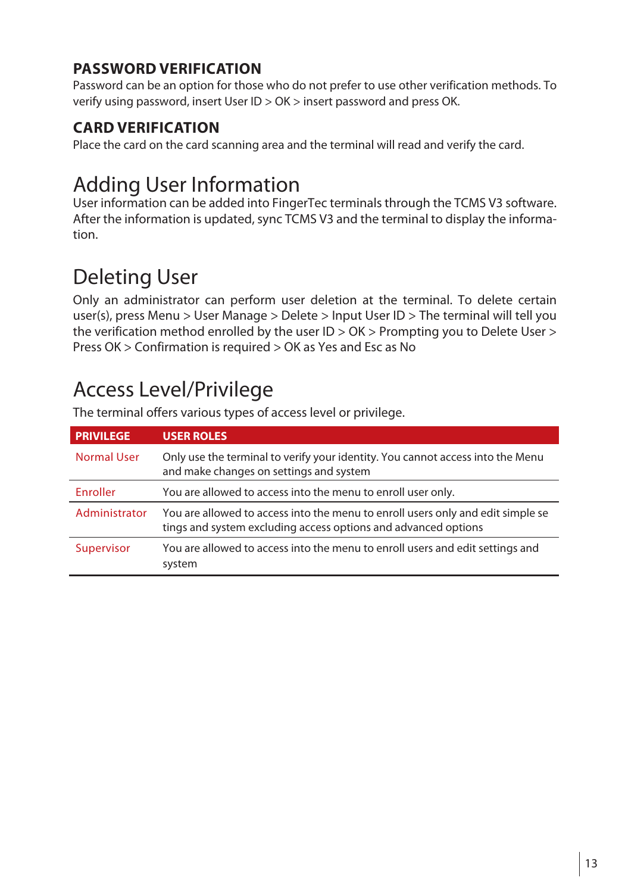### **Password Verification**

Password can be an option for those who do not prefer to use other verification methods. To verify using password, insert User ID > OK > insert password and press OK.

### **Card Verification**

Place the card on the card scanning area and the terminal will read and verify the card.

# Adding User Information

User information can be added into FingerTec terminals through the TCMS V3 software. After the information is updated, sync TCMS V3 and the terminal to display the information.

# Deleting User

Only an administrator can perform user deletion at the terminal. To delete certain user(s), press Menu > User Manage > Delete > Input User ID > The terminal will tell you the verification method enrolled by the user ID > OK > Prompting you to Delete User > Press OK > Confirmation is required > OK as Yes and Esc as No

# Access Level/Privilege

| <b>PRIVILEGE</b> | <b>USER ROLES</b>                                                                                                                                 |
|------------------|---------------------------------------------------------------------------------------------------------------------------------------------------|
| Normal User      | Only use the terminal to verify your identity. You cannot access into the Menu<br>and make changes on settings and system                         |
| Enroller         | You are allowed to access into the menu to enroll user only.                                                                                      |
| Administrator    | You are allowed to access into the menu to enroll users only and edit simple se<br>tings and system excluding access options and advanced options |
| Supervisor       | You are allowed to access into the menu to enroll users and edit settings and<br>system                                                           |

The terminal offers various types of access level or privilege.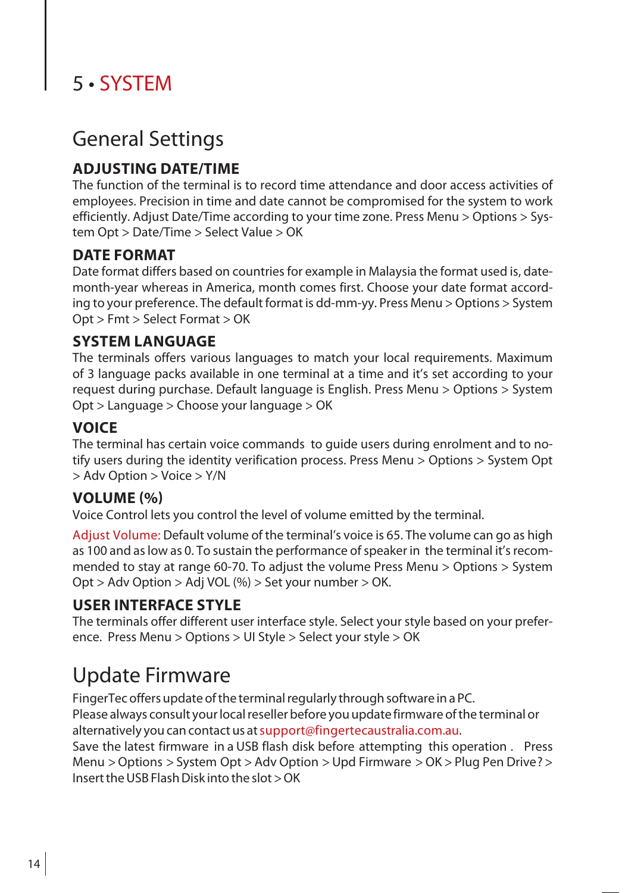# 5 • SYSTEM

### General Settings

### **Adjusting Date/Time**

The function of the terminal is to record time attendance and door access activities of employees. Precision in time and date cannot be compromised for the system to work efficiently. Adjust Date/Time according to your time zone. Press Menu > Options > System Opt > Date/Time > Select Value > OK

#### **Date Format**

Date format differs based on countries for example in Malaysia the format used is, datemonth-year whereas in America, month comes first. Choose your date format according to your preference. The default format is dd-mm-yy. Press Menu >Options > System Opt > Fmt > Select Format > OK

#### **System Language**

The terminals offers various languages to match your local requirements. Maximum of 3 language packs available in one terminal at a time and it's set according to your request during purchase. Default language is English. Press Menu > Options > System Opt > Language > Choose your language > OK

#### **Voice**

The terminal has certain voice commands to guide users during enrolment and to notify users during the identity verification process. Press Menu > Options > System Opt > Adv Option > Voice > Y/N

#### **Volume (%)**

Voice Control lets you control the level of volume emitted by the terminal.

Adjust Volume: Default volume of the terminal's voice is 65. The volume can go as high as 100 and as low as 0. To sustain the performance of speaker in the terminal it's recommended to stay at range 60-70. To adjust the volume Press Menu > Options > System Opt > Adv Option > Adj VOL (%) > Set your number > OK.

#### **User Interface Style**

The terminals offer different user interface style. Select your style based on your preference. Press Menu > Options > UI Style > Select your style > OK

# Update Firmware

FingerTec offers update of the terminal regularly through software in a PC. Please always consult your local reseller before you update firmware of the terminal or alternatively you can contact us atsupport@fingertecaustralia.com.au.

Save the latest firmware in a USB flash disk before attempting this operation . Press Menu >Options > System Opt > Adv Option > Upd Firmware >OK > Plug Pen Drive? >  $Insert the USR Flash Disk into the slot  $OK$$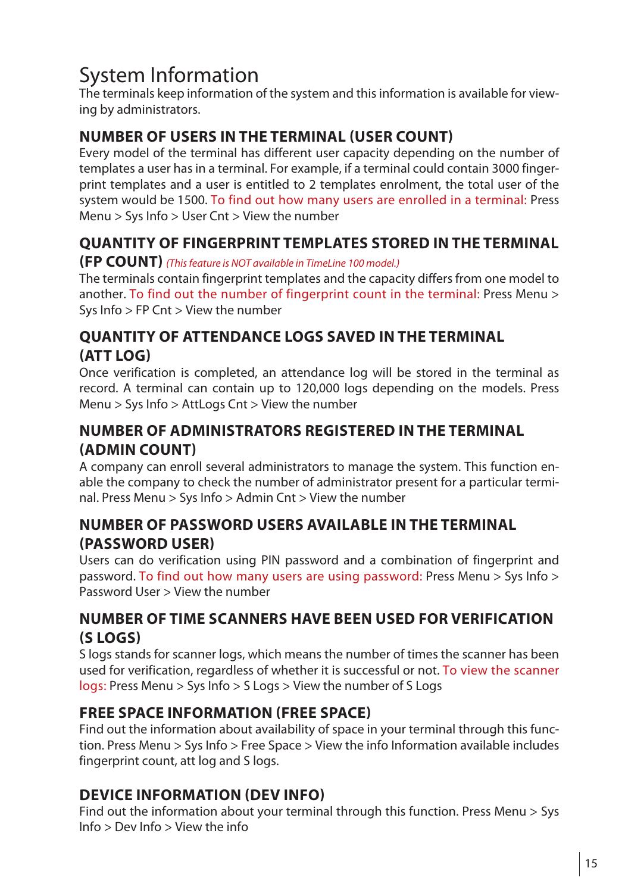# System Information

The terminals keep information of the system and thisinformation is available for viewing by administrators.

### **Number of Users in the Terminal (User Count)**

Every model of the terminal has different user capacity depending on the number of templates a user has in a terminal. For example, if a terminal could contain 3000 fingerprint templates and a user is entitled to 2 templates enrolment, the total user of the system would be 1500. To find out how many users are enrolled in a terminal: Press Menu > Sys Info > User Cnt > View the number

### **Quantity of Fingerprint Templates Stored in the Terminal**

#### **(FP Count)** *(This feature is NOT available in TimeLine 100 model.)*

The terminals contain fingerprint templates and the capacity differs from one model to another. To find out the number of fingerprint count in the terminal: Press Menu > Sys Info > FP Cnt > View the number

### **Quantity of Attendance Logs Saved In the Terminal (Att Log)**

Once verification is completed, an attendance log will be stored in the terminal as record. A terminal can contain up to 120,000 logs depending on the models. Press Menu > Sys Info > AttLogs Cnt > View the number

### **Number of Administrators Registered in the Terminal (Admin Count)**

A company can enroll several administrators to manage the system. This function enable the company to check the number of administrator present for a particular terminal. Press Menu > Sys Info > Admin Cnt > View the number

#### **Number of Password Users Available in the Terminal (Password User)**

Users can do verification using PIN password and a combination of fingerprint and password. To find out how many users are using password: Press Menu > Sys Info > Password User > View the number

#### **Number of Time Scanners Have Been Used for Verification (S Logs)**

S logs stands for scanner logs, which means the number of times the scanner has been used for verification, regardless of whether it is successful or not. To view the scanner logs: Press Menu > Sys Info > S Logs > View the number of S Logs

#### **Free Space Information (Free Space)**

Find out the information about availability of space in your terminal through this function. Press Menu > Sys Info > Free Space > View the info Information available includes fingerprint count, att log and S logs.

### **Device Information (Dev Info)**

Find out the information about your terminal through this function. Press Menu > Sys Info > Dev Info > View the info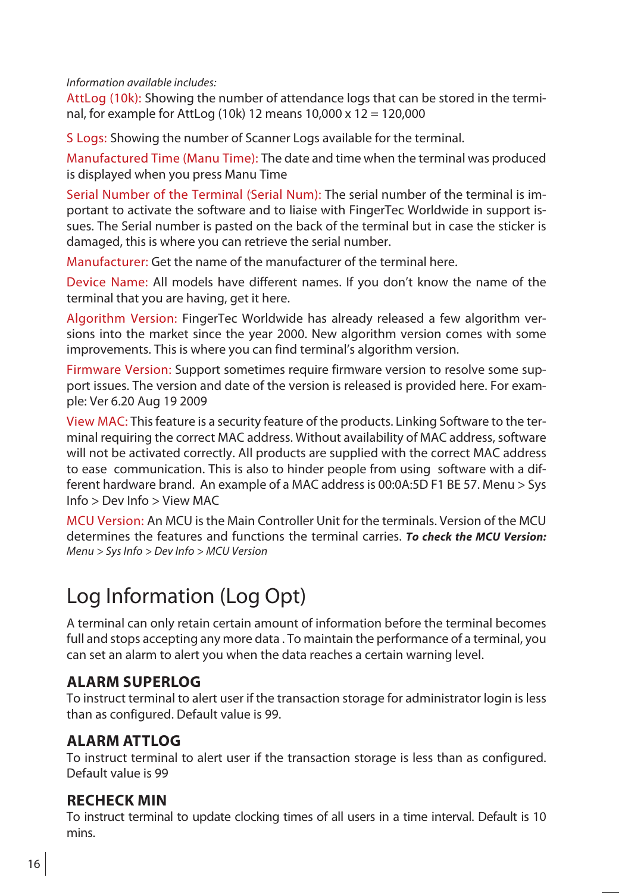*Information available includes:*

AttLog (10k): Showing the number of attendance logs that can be stored in the terminal, for example for AttLog (10k) 12 means 10,000 x 12 = 120,000

S Logs: Showing the number of Scanner Logs available for the terminal.

Manufactured Time (Manu Time): The date and time when the terminal was produced is displayed when you press Manu Time

Serial Number of the Terminal (Serial Num): The serial number of the terminal is important to activate the software and to liaise with FingerTec Worldwide in support issues. The Serial number is pasted on the back of the terminal but in case the sticker is damaged, this is where you can retrieve the serial number.

Manufacturer: Get the name of the manufacturer of the terminal here.

Device Name: All models have different names. If you don't know the name of the terminal that you are having, get it here.

Algorithm Version: FingerTec Worldwide has already released a few algorithm versions into the market since the year 2000. New algorithm version comes with some improvements. This is where you can find terminal's algorithm version.

Firmware Version: Support sometimes require firmware version to resolve some support issues. The version and date of the version is released is provided here. For example: Ver 6.20 Aug 19 2009

View MAC: Thisfeature is a security feature of the products. Linking Software to the terminal requiring the correct MAC address. Without availability of MAC address,software will not be activated correctly. All products are supplied with the correct MAC address to ease communication. This is also to hinder people from using software with a different hardware brand. An example of a MAC addressis 00:0A:5D F1 BE 57. Menu > Sys Info > Dev Info > View MAC

MCU Version: An MCU isthe Main Controller Unit for the terminals. Version of the MCU determines the features and functions the terminal carries. *To check the MCU Version: Menu > Sys Info > Dev Info > MCU Version*

# Log Information (Log Opt)

A terminal can only retain certain amount of information before the terminal becomes full and stops accepting any more data . To maintain the performance of a terminal, you can set an alarm to alert you when the data reaches a certain warning level.

#### **Alarm SuperLog**

To instruct terminal to alert user if the transaction storage for administrator login isless than as configured. Default value is 99.

### **Alarm AttLog**

To instruct terminal to alert user if the transaction storage is less than as configured. Default value is 99

#### **Recheck Min**

To instruct terminal to update clocking times of all users in a time interval. Default is 10 mins.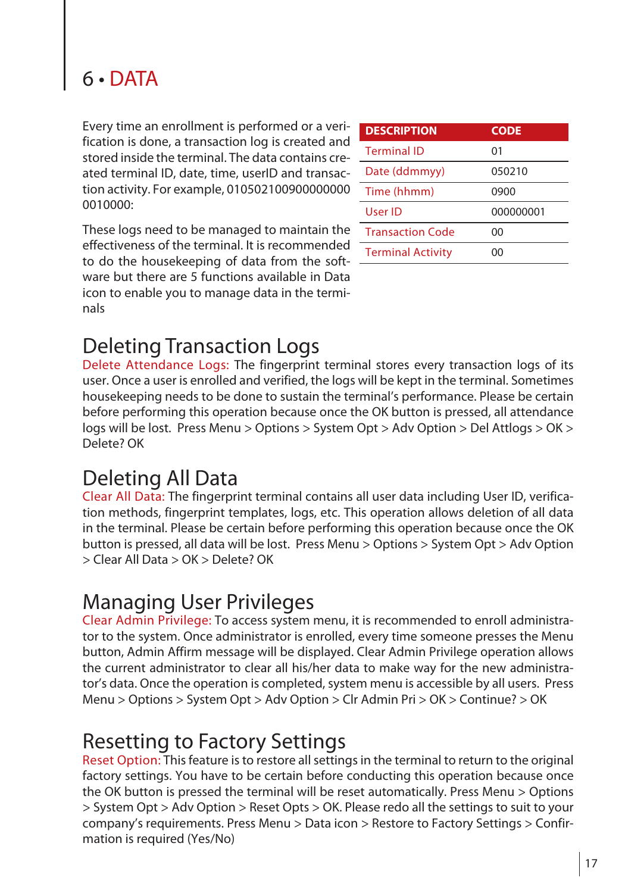# 6 • DATA

Every time an enrollment is performed or a verification is done, a transaction log is created and stored inside the terminal. The data contains created terminal ID, date, time, userID and transaction activity. For example, 010502100900000000 0010000:

These logs need to be managed to maintain the effectiveness of the terminal. It is recommended to do the housekeeping of data from the software but there are 5 functions available in Data icon to enable you to manage data in the terminals

| <b>DESCRIPTION</b>       | <b>CODE</b> |
|--------------------------|-------------|
| <b>Terminal ID</b>       | 01          |
| Date (ddmmyy)            | 050210      |
| Time (hhmm)              | 0900        |
| User ID                  | 000000001   |
| <b>Transaction Code</b>  | ΩO          |
| <b>Terminal Activity</b> | ററ          |
|                          |             |

# Deleting Transaction Logs

Delete Attendance Logs: The fingerprint terminal stores every transaction logs of its user. Once a user is enrolled and verified, the logs will be kept in the terminal. Sometimes housekeeping needs to be done to sustain the terminal's performance. Please be certain before performing this operation because once the OK button is pressed, all attendance logs will be lost. Press Menu > Options > System Opt > Adv Option > Del Attlogs > OK > Delete? OK

### Deleting All Data

Clear All Data: The fingerprint terminal contains all user data including User ID, verification methods, fingerprint templates, logs, etc. This operation allows deletion of all data in the terminal. Please be certain before performing this operation because once the OK button is pressed, all data will be lost. Press Menu > Options > System Opt > Adv Option > Clear All Data > OK > Delete? OK

### Managing User Privileges

Clear Admin Privilege: To access system menu, it is recommended to enroll administrator to the system. Once administrator is enrolled, every time someone presses the Menu button, Admin Affirm message will be displayed. Clear Admin Privilege operation allows the current administrator to clear all his/her data to make way for the new administrator's data. Once the operation is completed, system menu is accessible by all users. Press Menu > Options > System Opt > Adv Option > Clr Admin Pri > OK > Continue? > OK

### Resetting to Factory Settings

Reset Option: This feature is to restore all settings in the terminal to return to the original factory settings. You have to be certain before conducting this operation because once the OK button is pressed the terminal will be reset automatically. Press Menu > Options > System Opt > Adv Option > Reset Opts > OK. Please redo all the settings to suit to your company's requirements. Press Menu > Data icon > Restore to Factory Settings > Confirmation is required (Yes/No)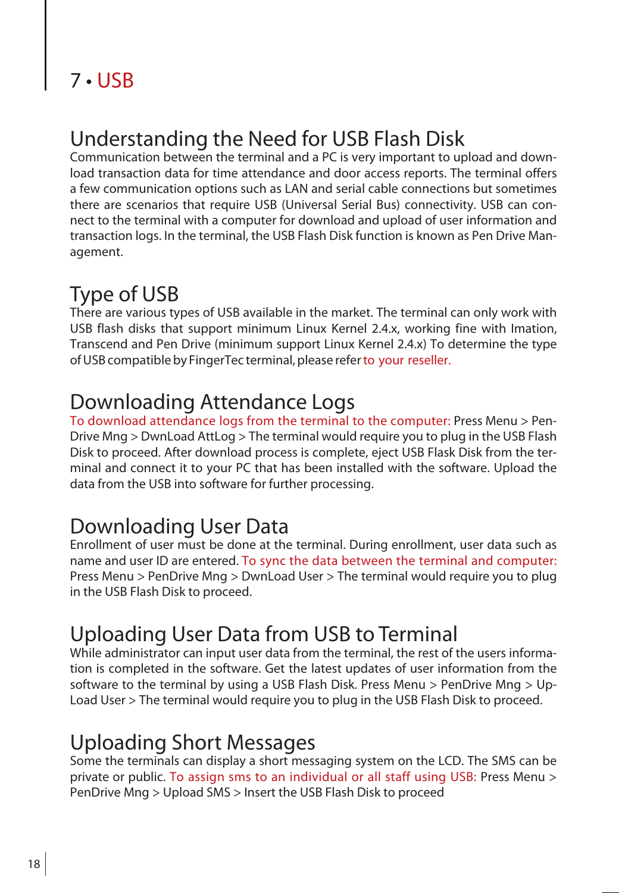# 7 • USB

# Understanding the Need for USB Flash Disk

Communication between the terminal and a PC is very important to upload and download transaction data for time attendance and door access reports. The terminal offers a few communication options such as LAN and serial cable connections but sometimes there are scenarios that require USB (Universal Serial Bus) connectivity. USB can connect to the terminal with a computer for download and upload of user information and transaction logs. In the terminal, the USB Flash Disk function is known as Pen Drive Management.

# Type of USB

There are various types of USB available in the market. The terminal can only work with USB flash disks that support minimum Linux Kernel 2.4.x, working fine with Imation, Transcend and Pen Drive (minimum support Linux Kernel 2.4.x) To determine the type of USB compatible by FingerTec terminal, please refer to your reseller.

### Downloading Attendance Logs

To download attendance logs from the terminal to the computer: Press Menu > Pen-Drive Mng > DwnLoad AttLog > The terminal would require you to plug in the USB Flash Disk to proceed. After download process is complete, eject USB Flask Disk from the terminal and connect it to your PC that has been installed with the software. Upload the data from the USB into software for further processing.

# Downloading User Data

Enrollment of user must be done at the terminal. During enrollment, user data such as name and user ID are entered. To sync the data between the terminal and computer: Press Menu > PenDrive Mng > DwnLoad User > The terminal would require you to plug in the USB Flash Disk to proceed.

# Uploading User Data from USB to Terminal

While administrator can input user data from the terminal, the rest of the users information is completed in the software. Get the latest updates of user information from the software to the terminal by using a USB Flash Disk. Press Menu > PenDrive Mng > Up-Load User > The terminal would require you to plug in the USB Flash Disk to proceed.

### Uploading Short Messages

Some the terminals can display a short messaging system on the LCD. The SMS can be private or public. To assign sms to an individual or all staff using USB: Press Menu > PenDrive Mng > Upload SMS > Insert the USB Flash Disk to proceed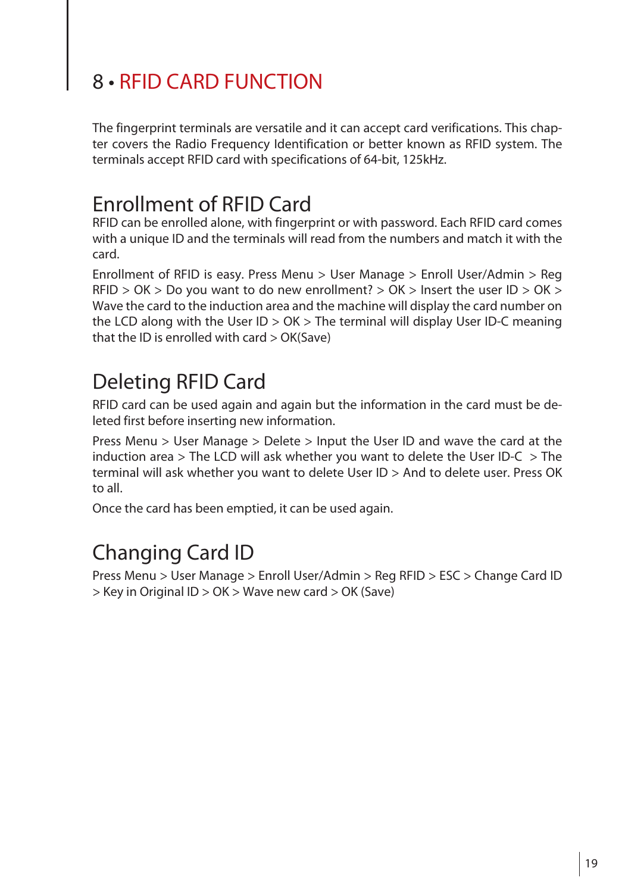# 8 • RFID CARD FUNCTION

The fingerprint terminals are versatile and it can accept card verifications. This chapter covers the Radio Frequency Identification or better known as RFID system. The terminals accept RFID card with specifications of 64-bit, 125kHz.

## Enrollment of RFID Card

RFID can be enrolled alone, with fingerprint or with password. Each RFID card comes with a unique ID and the terminals will read from the numbers and match it with the card.

Enrollment of RFID is easy. Press Menu > User Manage > Enroll User/Admin > Reg RFID > OK > Do you want to do new enrollment? > OK > Insert the user ID > OK > Wave the card to the induction area and the machine will display the card number on the LCD along with the User ID > OK > The terminal will display User ID-C meaning that the ID is enrolled with card > OK(Save)

# Deleting RFID Card

RFID card can be used again and again but the information in the card must be deleted first before inserting new information.

Press Menu > User Manage > Delete > Input the User ID and wave the card at the induction area  $>$  The LCD will ask whether you want to delete the User ID-C  $>$  The terminal will ask whether you want to delete User ID > And to delete user. Press OK to all.

Once the card has been emptied, it can be used again. 

# Changing Card ID

Press Menu > User Manage > Enroll User/Admin > Reg RFID > ESC > Change Card ID > Key in Original ID > OK > Wave new card > OK (Save)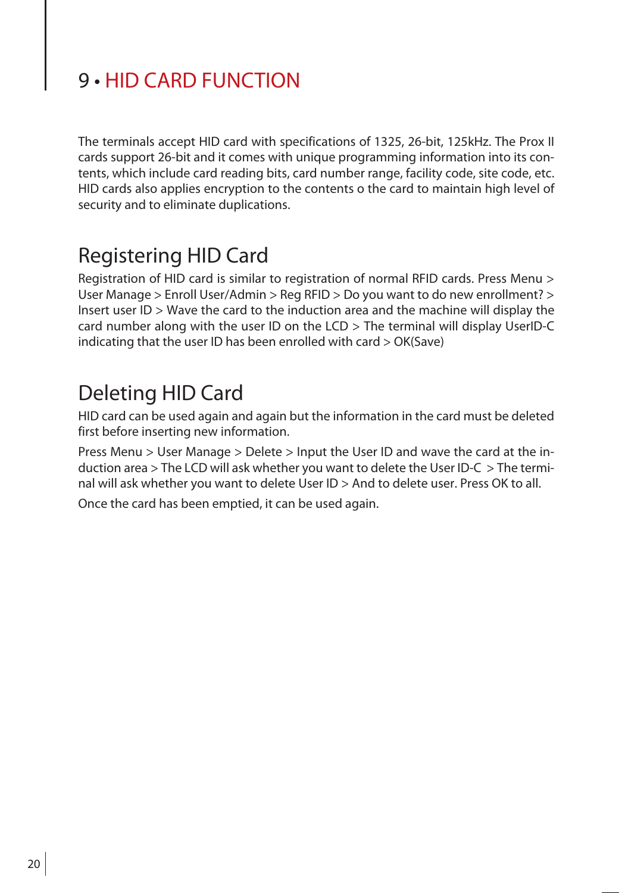# 9 • HID CARD FUNCTION

The terminals accept HID card with specifications of 1325, 26-bit, 125kHz. The Prox II cards support 26-bit and it comes with unique programming information into its contents, which include card reading bits, card number range, facility code, site code, etc. HID cards also applies encryption to the contents o the card to maintain high level of security and to eliminate duplications.

### Registering HID Card

Registration of HID card is similar to registration of normal RFID cards. Press Menu > User Manage > Enroll User/Admin > Reg RFID > Do you want to do new enrollment? > Insert user ID > Wave the card to the induction area and the machine will display the card number along with the user ID on the LCD > The terminal will display UserID-C indicating that the user ID has been enrolled with card > OK(Save)

### Deleting HID Card

HID card can be used again and again but the information in the card must be deleted first before inserting new information.

Press Menu > User Manage > Delete > Input the User ID and wave the card at the induction area > The LCD will ask whether you want to delete the User ID-C > The terminal will ask whether you want to delete User ID > And to delete user. Press OK to all.

Once the card has been emptied, it can be used again.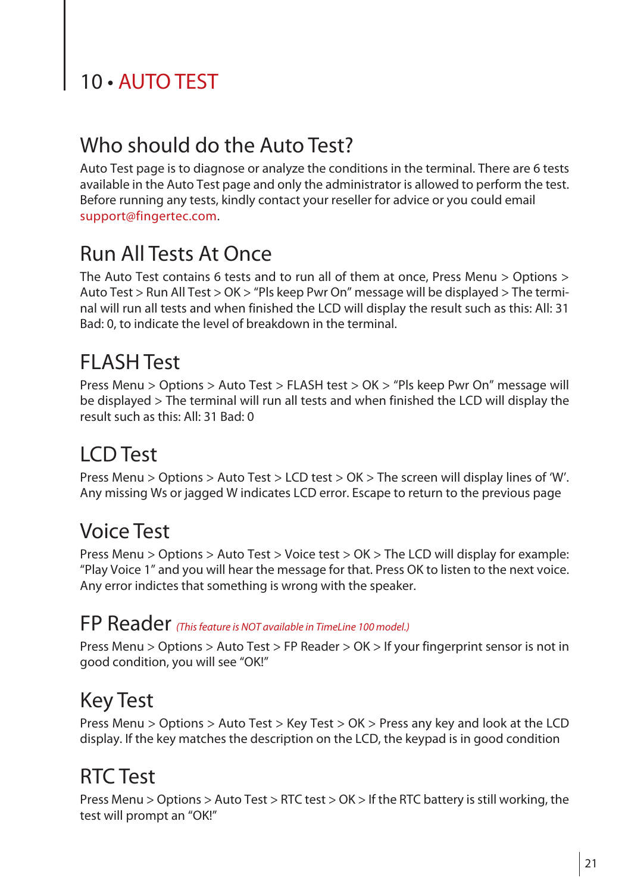# 10 · AUTO TEST

# Who should do the Auto Test?

Auto Test page is to diagnose or analyze the conditions in the terminal. There are 6 tests available in the Auto Test page and only the administrator is allowed to perform the test. Before running any tests, kindly contact your reseller for advice or you could email support@fingertec.com.

## Run All Tests At Once

The Auto Test contains 6 tests and to run all of them at once, Press Menu > Options > Auto Test > Run All Test > OK > "Pls keep Pwr On" message will be displayed > The terminal will run all tests and when finished the LCD will display the result such as this: All: 31 Bad: 0, to indicate the level of breakdown in the terminal.

## FLASH Test

Press Menu > Options > Auto Test > FLASH test > OK > "Pls keep Pwr On" message will be displayed > The terminal will run all tests and when finished the LCD will display the result such as this: All: 31 Bad: 0

# LCD Test

Press Menu > Options > Auto Test > LCD test > OK > The screen will display lines of 'W'. Any missing Ws or jagged W indicates LCD error. Escape to return to the previous page

### Voice Test

Press Menu > Options > Auto Test > Voice test > OK > The LCD will display for example: "Play Voice 1" and you will hear the message for that. Press OK to listen to the next voice. Any error indictes that something is wrong with the speaker.

### FP Reader *(This feature is NOT available in TimeLine 100 model.)*

Press Menu > Options > Auto Test > FP Reader > OK > If your fingerprint sensor is not in good condition, you will see "OK!"

### Key Test

Press Menu > Options > Auto Test > Key Test > OK > Press any key and look at the LCD display. If the key matches the description on the LCD, the keypad is in good condition

# RTC Test

Press Menu > Options > Auto Test > RTC test > OK > If the RTC battery isstill working, the test will prompt an "OK!"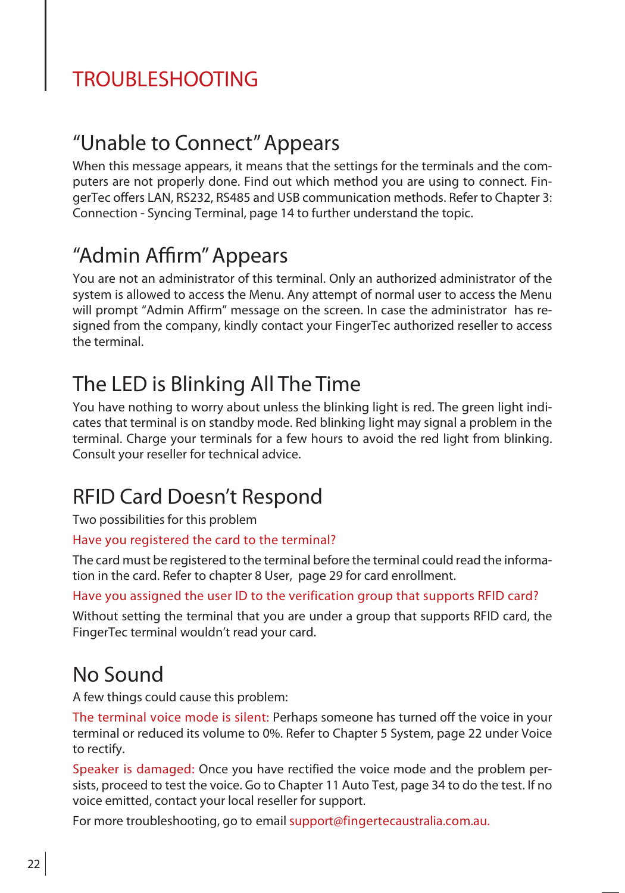# TROUBLESHOOTING

### "Unable to Connect"Appears

When this message appears, it means that the settings for the terminals and the computers are not properly done. Find out which method you are using to connect. FingerTec offers LAN, RS232, RS485 and USB communication methods. Refer to Chapter 3: Connection - Syncing Terminal, page 14 to further understand the topic.

# "Admin Affirm"Appears

You are not an administrator of this terminal. Only an authorized administrator of the system is allowed to access the Menu. Any attempt of normal user to access the Menu will prompt "Admin Affirm" message on the screen. In case the administrator has resigned from the company, kindly contact your FingerTec authorized reseller to access the terminal.

# The LED is Blinking All The Time

You have nothing to worry about unless the blinking light is red. The green light indicates that terminal is on standby mode. Red blinking light may signal a problem in the terminal. Charge your terminals for a few hours to avoid the red light from blinking. Consult your reseller for technical advice.

# RFID Card Doesn't Respond

Two possibilities for this problem

#### Have you registered the card to the terminal?

The card must be registered to the terminal before the terminal could read the information in the card. Refer to chapter 8 User, page 29 for card enrollment.

#### Have you assigned the user ID to the verification group that supports RFID card?

Without setting the terminal that you are under a group that supports RFID card, the FingerTec terminal wouldn't read your card.

### No Sound

A few things could cause this problem:

The terminal voice mode is silent: Perhaps someone has turned off the voice in your terminal or reduced its volume to 0%. Refer to Chapter 5 System, page 22 under Voice to rectify.

Speaker is damaged: Once you have rectified the voice mode and the problem persists, proceed to test the voice. Go to Chapter 11 Auto Test, page 34 to do the test. If no voice emitted, contact your local reseller for support.

For more troubleshooting, go to email support@fingertecaustralia.com.au.